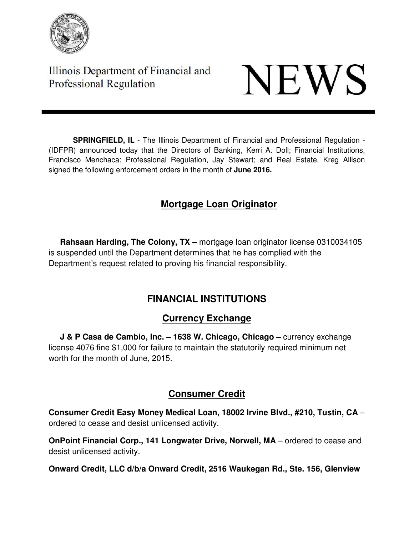

Illinois Department of Financial and Professional Regulation

# **NEWS**

**SPRINGFIELD, IL** - The Illinois Department of Financial and Professional Regulation - (IDFPR) announced today that the Directors of Banking, Kerri A. Doll; Financial Institutions, Francisco Menchaca; Professional Regulation, Jay Stewart; and Real Estate, Kreg Allison signed the following enforcement orders in the month of **June 2016.** 

## **Mortgage Loan Originator**

**Rahsaan Harding, The Colony, TX** – mortgage loan originator license 0310034105 is suspended until the Department determines that he has complied with the Department's request related to proving his financial responsibility.

## **FINANCIAL INSTITUTIONS**

## **Currency Exchange**

**J & P Casa de Cambio, Inc. – 1638 W. Chicago, Chicago – currency exchange** license 4076 fine \$1,000 for failure to maintain the statutorily required minimum net worth for the month of June, 2015.

## **Consumer Credit**

**Consumer Credit Easy Money Medical Loan, 18002 Irvine Blvd., #210, Tustin, CA** – ordered to cease and desist unlicensed activity.

**OnPoint Financial Corp., 141 Longwater Drive, Norwell, MA** – ordered to cease and desist unlicensed activity.

**Onward Credit, LLC d/b/a Onward Credit, 2516 Waukegan Rd., Ste. 156, Glenview**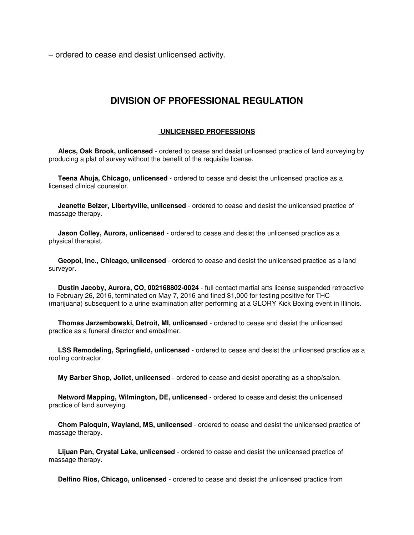– ordered to cease and desist unlicensed activity.

### **DIVISION OF PROFESSIONAL REGULATION**

#### **UNLICENSED PROFESSIONS**

 **Alecs, Oak Brook, unlicensed** - ordered to cease and desist unlicensed practice of land surveying by producing a plat of survey without the benefit of the requisite license.

 **Teena Ahuja, Chicago, unlicensed** - ordered to cease and desist the unlicensed practice as a licensed clinical counselor.

 **Jeanette Belzer, Libertyville, unlicensed** - ordered to cease and desist the unlicensed practice of massage therapy.

 **Jason Colley, Aurora, unlicensed** - ordered to cease and desist the unlicensed practice as a physical therapist.

 **Geopol, Inc., Chicago, unlicensed** - ordered to cease and desist the unlicensed practice as a land surveyor.

 **Dustin Jacoby, Aurora, CO, 002168802-0024** - full contact martial arts license suspended retroactive to February 26, 2016, terminated on May 7, 2016 and fined \$1,000 for testing positive for THC (marijuana) subsequent to a urine examination after performing at a GLORY Kick Boxing event in Illinois.

 **Thomas Jarzembowski, Detroit, MI, unlicensed** - ordered to cease and desist the unlicensed practice as a funeral director and embalmer.

 **LSS Remodeling, Springfield, unlicensed** - ordered to cease and desist the unlicensed practice as a roofing contractor.

**My Barber Shop, Joliet, unlicensed** - ordered to cease and desist operating as a shop/salon.

 **Netword Mapping, Wilmington, DE, unlicensed** - ordered to cease and desist the unlicensed practice of land surveying.

 **Chom Paloquin, Wayland, MS, unlicensed** - ordered to cease and desist the unlicensed practice of massage therapy.

 **Lijuan Pan, Crystal Lake, unlicensed** - ordered to cease and desist the unlicensed practice of massage therapy.

**Delfino Rios, Chicago, unlicensed** - ordered to cease and desist the unlicensed practice from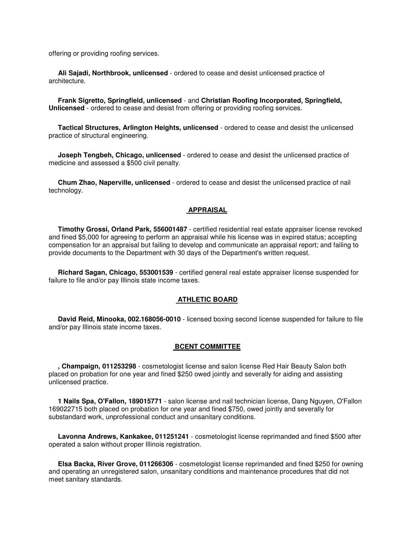offering or providing roofing services.

 **Ali Sajadi, Northbrook, unlicensed** - ordered to cease and desist unlicensed practice of architecture.

 **Frank Sigretto, Springfield, unlicensed** - and **Christian Roofing Incorporated, Springfield, Unlicensed** - ordered to cease and desist from offering or providing roofing services.

 **Tactical Structures, Arlington Heights, unlicensed** - ordered to cease and desist the unlicensed practice of structural engineering.

 **Joseph Tengbeh, Chicago, unlicensed** - ordered to cease and desist the unlicensed practice of medicine and assessed a \$500 civil penalty.

 **Chum Zhao, Naperville, unlicensed** - ordered to cease and desist the unlicensed practice of nail technology.

#### **APPRAISAL**

 **Timothy Grossi, Orland Park, 556001487** - certified residential real estate appraiser license revoked and fined \$5,000 for agreeing to perform an appraisal while his license was in expired status; accepting compensation for an appraisal but failing to develop and communicate an appraisal report; and failing to provide documents to the Department with 30 days of the Department's written request.

 **Richard Sagan, Chicago, 553001539** - certified general real estate appraiser license suspended for failure to file and/or pay Illinois state income taxes.

#### **ATHLETIC BOARD**

 **David Reid, Minooka, 002.168056-0010** - licensed boxing second license suspended for failure to file and/or pay Illinois state income taxes.

#### **BCENT COMMITTEE**

 **, Champaign, 011253298** - cosmetologist license and salon license Red Hair Beauty Salon both placed on probation for one year and fined \$250 owed jointly and severally for aiding and assisting unlicensed practice.

 **1 Nails Spa, O'Fallon, 189015771** - salon license and nail technician license, Dang Nguyen, O'Fallon 169022715 both placed on probation for one year and fined \$750, owed jointly and severally for substandard work, unprofessional conduct and unsanitary conditions.

 **Lavonna Andrews, Kankakee, 011251241** - cosmetologist license reprimanded and fined \$500 after operated a salon without proper Illinois registration.

 **Elsa Backa, River Grove, 011266306** - cosmetologist license reprimanded and fined \$250 for owning and operating an unregistered salon, unsanitary conditions and maintenance procedures that did not meet sanitary standards.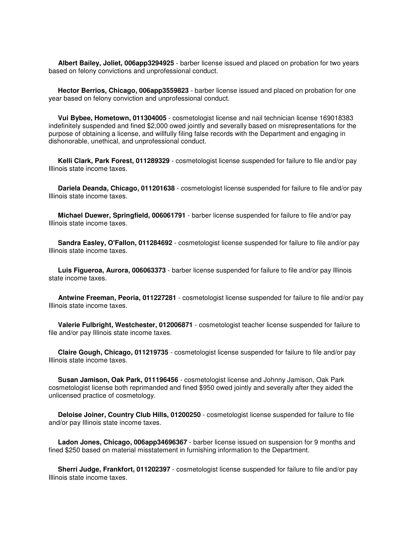**Albert Bailey, Joliet, 006app3294925** - barber license issued and placed on probation for two years based on felony convictions and unprofessional conduct.

 **Hector Berrios, Chicago, 006app3559823** - barber license issued and placed on probation for one year based on felony conviction and unprofessional conduct.

 **Vui Bybee, Hometown, 011304005** - cosmetologist license and nail technician license 169018383 indefinitely suspended and fined \$2,000 owed jointly and severally based on misrepresentations for the purpose of obtaining a license, and willfully filing false records with the Department and engaging in dishonorable, unethical, and unprofessional conduct.

 **Kelli Clark, Park Forest, 011289329** - cosmetologist license suspended for failure to file and/or pay Illinois state income taxes.

 **Dariela Deanda, Chicago, 011201638** - cosmetologist license suspended for failure to file and/or pay Illinois state income taxes.

 **Michael Duewer, Springfield, 006061791** - barber license suspended for failure to file and/or pay Illinois state income taxes.

 **Sandra Easley, O'Fallon, 011284692** - cosmetologist license suspended for failure to file and/or pay Illinois state income taxes.

 **Luis Figueroa, Aurora, 006063373** - barber license suspended for failure to file and/or pay Illinois state income taxes.

 **Antwine Freeman, Peoria, 011227281** - cosmetologist license suspended for failure to file and/or pay Illinois state income taxes.

 **Valerie Fulbright, Westchester, 012006871** - cosmetologist teacher license suspended for failure to file and/or pay Illinois state income taxes.

 **Claire Gough, Chicago, 011219735** - cosmetologist license suspended for failure to file and/or pay Illinois state income taxes.

 **Susan Jamison, Oak Park, 011196456** - cosmetologist license and Johnny Jamison, Oak Park cosmetologist license both reprimanded and fined \$950 owed jointly and severally after they aided the unlicensed practice of cosmetology.

 **Deloise Joiner, Country Club Hills, 01200250** - cosmetologist license suspended for failure to file and/or pay Illinois state income taxes.

 **Ladon Jones, Chicago, 006app34696367** - barber license issued on suspension for 9 months and fined \$250 based on material misstatement in furnishing information to the Department.

 **Sherri Judge, Frankfort, 011202397** - cosmetologist license suspended for failure to file and/or pay Illinois state income taxes.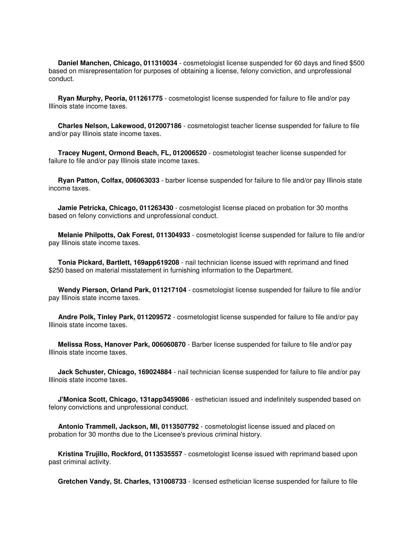**Daniel Manchen, Chicago, 011310034** - cosmetologist license suspended for 60 days and fined \$500 based on misrepresentation for purposes of obtaining a license, felony conviction, and unprofessional conduct.

 **Ryan Murphy, Peoria, 011261775** - cosmetologist license suspended for failure to file and/or pay Illinois state income taxes.

 **Charles Nelson, Lakewood, 012007186** - cosmetologist teacher license suspended for failure to file and/or pay Illinois state income taxes.

 **Tracey Nugent, Ormond Beach, FL, 012006520** - cosmetologist teacher license suspended for failure to file and/or pay Illinois state income taxes.

 **Ryan Patton, Colfax, 006063033** - barber license suspended for failure to file and/or pay Illinois state income taxes.

 **Jamie Petricka, Chicago, 011263430** - cosmetologist license placed on probation for 30 months based on felony convictions and unprofessional conduct.

 **Melanie Philpotts, Oak Forest, 011304933** - cosmetologist license suspended for failure to file and/or pay Illinois state income taxes.

 **Tonia Pickard, Bartlett, 169app619208** - nail technician license issued with reprimand and fined \$250 based on material misstatement in furnishing information to the Department.

 **Wendy Pierson, Orland Park, 011217104** - cosmetologist license suspended for failure to file and/or pay Illinois state income taxes.

 **Andre Polk, Tinley Park, 011209572** - cosmetologist license suspended for failure to file and/or pay Illinois state income taxes.

 **Melissa Ross, Hanover Park, 006060870** - Barber license suspended for failure to file and/or pay Illinois state income taxes.

 **Jack Schuster, Chicago, 169024884** - nail technician license suspended for failure to file and/or pay Illinois state income taxes.

 **J'Monica Scott, Chicago, 131app3459086** - esthetician issued and indefinitely suspended based on felony convictions and unprofessional conduct.

 **Antonio Trammell, Jackson, MI, 0113507792** - cosmetologist license issued and placed on probation for 30 months due to the Licensee's previous criminal history.

 **Kristina Trujillo, Rockford, 0113535557** - cosmetologist license issued with reprimand based upon past criminal activity.

**Gretchen Vandy, St. Charles, 131008733** - licensed esthetician license suspended for failure to file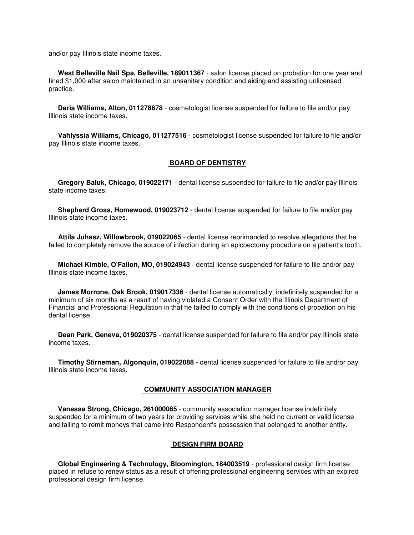and/or pay Illinois state income taxes.

 **West Belleville Nail Spa, Belleville, 189011367** - salon license placed on probation for one year and fined \$1,000 after salon maintained in an unsanitary condition and aiding and assisting unlicensed practice.

 **Daris Williams, Alton, 011278678** - cosmetologist license suspended for failure to file and/or pay Illinois state income taxes.

 **Vahlyssia Williams, Chicago, 011277516** - cosmetologist license suspended for failure to file and/or pay Illinois state income taxes.

#### **BOARD OF DENTISTRY**

 **Gregory Baluk, Chicago, 019022171** - dental license suspended for failure to file and/or pay Illinois state income taxes.

 **Shepherd Gross, Homewood, 019023712** - dental license suspended for failure to file and/or pay Illinois state income taxes.

 **Attila Juhasz, Willowbrook, 019022065** - dental license reprimanded to resolve allegations that he failed to completely remove the source of infection during an apicoectomy procedure on a patient's tooth.

 **Michael Kimble, O'Fallon, MO, 019024943** - dental license suspended for failure to file and/or pay Illinois state income taxes.

 **James Morrone, Oak Brook, 019017336** - dental license automatically, indefinitely suspended for a minimum of six months as a result of having violated a Consent Order with the Illinois Department of Financial and Professional Regulation in that he failed to comply with the conditions of probation on his dental license.

 **Dean Park, Geneva, 019020375** - dental license suspended for failure to file and/or pay Illinois state income taxes.

 **Timothy Stirneman, Algonquin, 019022088** - dental license suspended for failure to file and/or pay Illinois state income taxes.

#### **COMMUNITY ASSOCIATION MANAGER**

 **Vanessa Strong, Chicago, 261000065** - community association manager license indefinitely suspended for a minimum of two years for providing services while she held no current or valid license and failing to remit moneys that came into Respondent's possession that belonged to another entity.

#### **DESIGN FIRM BOARD**

 **Global Engineering & Technology, Bloomington, 184003519** - professional design firm license placed in refuse to renew status as a result of offering professional engineering services with an expired professional design firm license.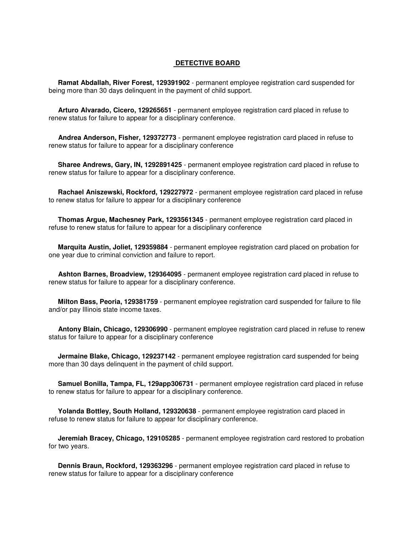#### **DETECTIVE BOARD**

 **Ramat Abdallah, River Forest, 129391902** - permanent employee registration card suspended for being more than 30 days delinquent in the payment of child support.

 **Arturo Alvarado, Cicero, 129265651** - permanent employee registration card placed in refuse to renew status for failure to appear for a disciplinary conference.

 **Andrea Anderson, Fisher, 129372773** - permanent employee registration card placed in refuse to renew status for failure to appear for a disciplinary conference

 **Sharee Andrews, Gary, IN, 1292891425** - permanent employee registration card placed in refuse to renew status for failure to appear for a disciplinary conference.

 **Rachael Aniszewski, Rockford, 129227972** - permanent employee registration card placed in refuse to renew status for failure to appear for a disciplinary conference

 **Thomas Argue, Machesney Park, 1293561345** - permanent employee registration card placed in refuse to renew status for failure to appear for a disciplinary conference

 **Marquita Austin, Joliet, 129359884** - permanent employee registration card placed on probation for one year due to criminal conviction and failure to report.

 **Ashton Barnes, Broadview, 129364095** - permanent employee registration card placed in refuse to renew status for failure to appear for a disciplinary conference.

 **Milton Bass, Peoria, 129381759** - permanent employee registration card suspended for failure to file and/or pay Illinois state income taxes.

 **Antony Blain, Chicago, 129306990** - permanent employee registration card placed in refuse to renew status for failure to appear for a disciplinary conference

**Jermaine Blake, Chicago, 129237142** - permanent employee registration card suspended for being more than 30 days delinquent in the payment of child support.

 **Samuel Bonilla, Tampa, FL, 129app306731** - permanent employee registration card placed in refuse to renew status for failure to appear for a disciplinary conference.

 **Yolanda Bottley, South Holland, 129320638** - permanent employee registration card placed in refuse to renew status for failure to appear for disciplinary conference.

 **Jeremiah Bracey, Chicago, 129105285** - permanent employee registration card restored to probation for two years.

 **Dennis Braun, Rockford, 129363296** - permanent employee registration card placed in refuse to renew status for failure to appear for a disciplinary conference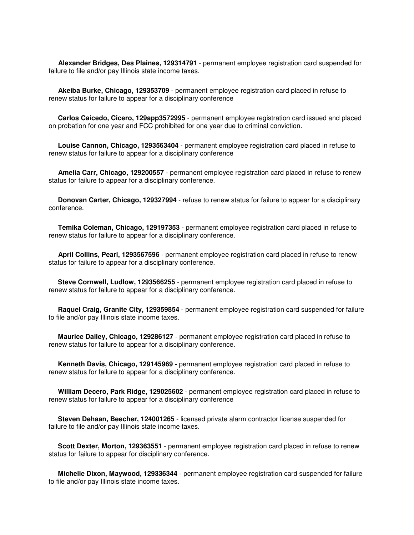**Alexander Bridges, Des Plaines, 129314791** - permanent employee registration card suspended for failure to file and/or pay Illinois state income taxes.

 **Akeiba Burke, Chicago, 129353709** - permanent employee registration card placed in refuse to renew status for failure to appear for a disciplinary conference

 **Carlos Caicedo, Cicero, 129app3572995** - permanent employee registration card issued and placed on probation for one year and FCC prohibited for one year due to criminal conviction.

 **Louise Cannon, Chicago, 1293563404** - permanent employee registration card placed in refuse to renew status for failure to appear for a disciplinary conference

 **Amelia Carr, Chicago, 129200557** - permanent employee registration card placed in refuse to renew status for failure to appear for a disciplinary conference.

 **Donovan Carter, Chicago, 129327994** - refuse to renew status for failure to appear for a disciplinary conference.

 **Temika Coleman, Chicago, 129197353** - permanent employee registration card placed in refuse to renew status for failure to appear for a disciplinary conference.

 **April Collins, Pearl, 1293567596** - permanent employee registration card placed in refuse to renew status for failure to appear for a disciplinary conference.

 **Steve Cornwell, Ludlow, 1293566255** - permanent employee registration card placed in refuse to renew status for failure to appear for a disciplinary conference.

 **Raquel Craig, Granite City, 129359854** - permanent employee registration card suspended for failure to file and/or pay Illinois state income taxes.

 **Maurice Dailey, Chicago, 129286127** - permanent employee registration card placed in refuse to renew status for failure to appear for a disciplinary conference.

 **Kenneth Davis, Chicago, 129145969 -** permanent employee registration card placed in refuse to renew status for failure to appear for a disciplinary conference.

 **William Decero, Park Ridge, 129025602** - permanent employee registration card placed in refuse to renew status for failure to appear for a disciplinary conference

 **Steven Dehaan, Beecher, 124001265** - licensed private alarm contractor license suspended for failure to file and/or pay Illinois state income taxes.

 **Scott Dexter, Morton, 129363551** - permanent employee registration card placed in refuse to renew status for failure to appear for disciplinary conference.

 **Michelle Dixon, Maywood, 129336344** - permanent employee registration card suspended for failure to file and/or pay Illinois state income taxes.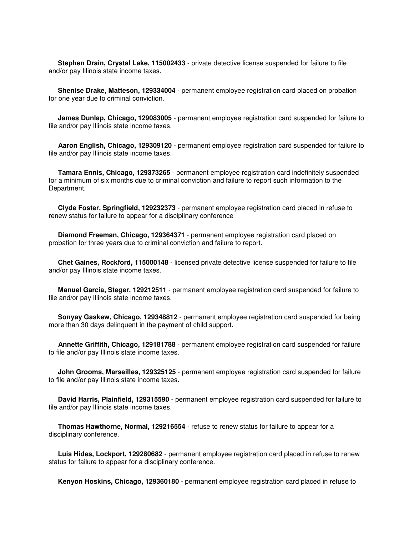**Stephen Drain, Crystal Lake, 115002433** - private detective license suspended for failure to file and/or pay Illinois state income taxes.

 **Shenise Drake, Matteson, 129334004** - permanent employee registration card placed on probation for one year due to criminal conviction.

 **James Dunlap, Chicago, 129083005** - permanent employee registration card suspended for failure to file and/or pay Illinois state income taxes.

 **Aaron English, Chicago, 129309120** - permanent employee registration card suspended for failure to file and/or pay Illinois state income taxes.

 **Tamara Ennis, Chicago, 129373265** - permanent employee registration card indefinitely suspended for a minimum of six months due to criminal conviction and failure to report such information to the Department.

 **Clyde Foster, Springfield, 129232373** - permanent employee registration card placed in refuse to renew status for failure to appear for a disciplinary conference

 **Diamond Freeman, Chicago, 129364371** - permanent employee registration card placed on probation for three years due to criminal conviction and failure to report.

 **Chet Gaines, Rockford, 115000148** - licensed private detective license suspended for failure to file and/or pay Illinois state income taxes.

 **Manuel Garcia, Steger, 129212511** - permanent employee registration card suspended for failure to file and/or pay Illinois state income taxes.

 **Sonyay Gaskew, Chicago, 129348812** - permanent employee registration card suspended for being more than 30 days delinquent in the payment of child support.

 **Annette Griffith, Chicago, 129181788** - permanent employee registration card suspended for failure to file and/or pay Illinois state income taxes.

 **John Grooms, Marseilles, 129325125** - permanent employee registration card suspended for failure to file and/or pay Illinois state income taxes.

 **David Harris, Plainfield, 129315590** - permanent employee registration card suspended for failure to file and/or pay Illinois state income taxes.

 **Thomas Hawthorne, Normal, 129216554** - refuse to renew status for failure to appear for a disciplinary conference.

 **Luis Hides, Lockport, 129280682** - permanent employee registration card placed in refuse to renew status for failure to appear for a disciplinary conference.

**Kenyon Hoskins, Chicago, 129360180** - permanent employee registration card placed in refuse to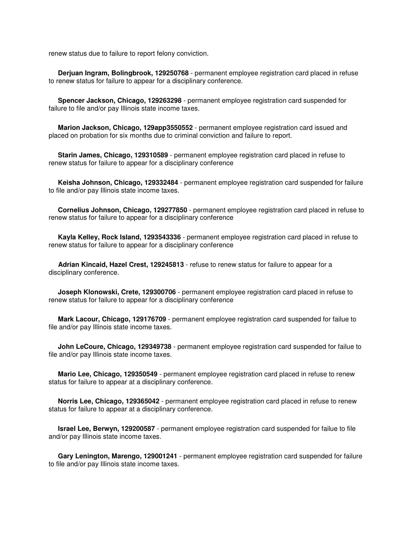renew status due to failure to report felony conviction.

 **Derjuan Ingram, Bolingbrook, 129250768** - permanent employee registration card placed in refuse to renew status for failure to appear for a disciplinary conference.

 **Spencer Jackson, Chicago, 129263298** - permanent employee registration card suspended for failure to file and/or pay Illinois state income taxes.

 **Marion Jackson, Chicago, 129app3550552** - permanent employee registration card issued and placed on probation for six months due to criminal conviction and failure to report.

 **Starin James, Chicago, 129310589** - permanent employee registration card placed in refuse to renew status for failure to appear for a disciplinary conference

 **Keisha Johnson, Chicago, 129332484** - permanent employee registration card suspended for failure to file and/or pay Illinois state income taxes.

 **Cornelius Johnson, Chicago, 129277850** - permanent employee registration card placed in refuse to renew status for failure to appear for a disciplinary conference

 **Kayla Kelley, Rock Island, 1293543336** - permanent employee registration card placed in refuse to renew status for failure to appear for a disciplinary conference

 **Adrian Kincaid, Hazel Crest, 129245813** - refuse to renew status for failure to appear for a disciplinary conference.

 **Joseph Klonowski, Crete, 129300706** - permanent employee registration card placed in refuse to renew status for failure to appear for a disciplinary conference

 **Mark Lacour, Chicago, 129176709** - permanent employee registration card suspended for failue to file and/or pay Illinois state income taxes.

 **John LeCoure, Chicago, 129349738** - permanent employee registration card suspended for failue to file and/or pay Illinois state income taxes.

 **Mario Lee, Chicago, 129350549** - permanent employee registration card placed in refuse to renew status for failure to appear at a disciplinary conference.

 **Norris Lee, Chicago, 129365042** - permanent employee registration card placed in refuse to renew status for failure to appear at a disciplinary conference.

 **Israel Lee, Berwyn, 129200587** - permanent employee registration card suspended for failue to file and/or pay Illinois state income taxes.

 **Gary Lenington, Marengo, 129001241** - permanent employee registration card suspended for failure to file and/or pay Illinois state income taxes.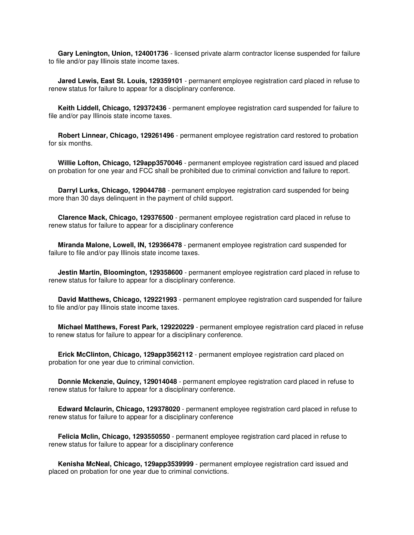**Gary Lenington, Union, 124001736** - licensed private alarm contractor license suspended for failure to file and/or pay Illinois state income taxes.

 **Jared Lewis, East St. Louis, 129359101** - permanent employee registration card placed in refuse to renew status for failure to appear for a disciplinary conference.

 **Keith Liddell, Chicago, 129372436** - permanent employee registration card suspended for failure to file and/or pay Illinois state income taxes.

 **Robert Linnear, Chicago, 129261496** - permanent employee registration card restored to probation for six months.

 **Willie Lofton, Chicago, 129app3570046** - permanent employee registration card issued and placed on probation for one year and FCC shall be prohibited due to criminal conviction and failure to report.

 **Darryl Lurks, Chicago, 129044788** - permanent employee registration card suspended for being more than 30 days delinquent in the payment of child support.

 **Clarence Mack, Chicago, 129376500** - permanent employee registration card placed in refuse to renew status for failure to appear for a disciplinary conference

 **Miranda Malone, Lowell, IN, 129366478** - permanent employee registration card suspended for failure to file and/or pay Illinois state income taxes.

 **Jestin Martin, Bloomington, 129358600** - permanent employee registration card placed in refuse to renew status for failure to appear for a disciplinary conference.

 **David Matthews, Chicago, 129221993** - permanent employee registration card suspended for failure to file and/or pay Illinois state income taxes.

 **Michael Matthews, Forest Park, 129220229** - permanent employee registration card placed in refuse to renew status for failure to appear for a disciplinary conference.

 **Erick McClinton, Chicago, 129app3562112** - permanent employee registration card placed on probation for one year due to criminal conviction.

 **Donnie Mckenzie, Quincy, 129014048** - permanent employee registration card placed in refuse to renew status for failure to appear for a disciplinary conference.

 **Edward Mclaurin, Chicago, 129378020** - permanent employee registration card placed in refuse to renew status for failure to appear for a disciplinary conference

 **Felicia Mclin, Chicago, 1293550550** - permanent employee registration card placed in refuse to renew status for failure to appear for a disciplinary conference

 **Kenisha McNeal, Chicago, 129app3539999** - permanent employee registration card issued and placed on probation for one year due to criminal convictions.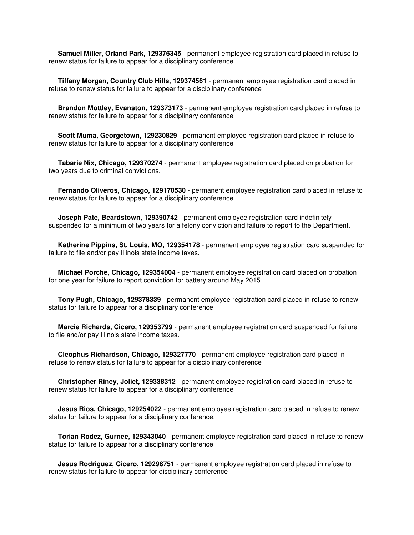**Samuel Miller, Orland Park, 129376345** - permanent employee registration card placed in refuse to renew status for failure to appear for a disciplinary conference

 **Tiffany Morgan, Country Club Hills, 129374561** - permanent employee registration card placed in refuse to renew status for failure to appear for a disciplinary conference

 **Brandon Mottley, Evanston, 129373173** - permanent employee registration card placed in refuse to renew status for failure to appear for a disciplinary conference

 **Scott Muma, Georgetown, 129230829** - permanent employee registration card placed in refuse to renew status for failure to appear for a disciplinary conference

 **Tabarie Nix, Chicago, 129370274** - permanent employee registration card placed on probation for two years due to criminal convictions.

 **Fernando Oliveros, Chicago, 129170530** - permanent employee registration card placed in refuse to renew status for failure to appear for a disciplinary conference.

 **Joseph Pate, Beardstown, 129390742** - permanent employee registration card indefinitely suspended for a minimum of two years for a felony conviction and failure to report to the Department.

 **Katherine Pippins, St. Louis, MO, 129354178** - permanent employee registration card suspended for failure to file and/or pay Illinois state income taxes.

 **Michael Porche, Chicago, 129354004** - permanent employee registration card placed on probation for one year for failure to report conviction for battery around May 2015.

 **Tony Pugh, Chicago, 129378339** - permanent employee registration card placed in refuse to renew status for failure to appear for a disciplinary conference

 **Marcie Richards, Cicero, 129353799** - permanent employee registration card suspended for failure to file and/or pay Illinois state income taxes.

 **Cleophus Richardson, Chicago, 129327770** - permanent employee registration card placed in refuse to renew status for failure to appear for a disciplinary conference

 **Christopher Riney, Joliet, 129338312** - permanent employee registration card placed in refuse to renew status for failure to appear for a disciplinary conference

 **Jesus Rios, Chicago, 129254022** - permanent employee registration card placed in refuse to renew status for failure to appear for a disciplinary conference.

 **Torian Rodez, Gurnee, 129343040** - permanent employee registration card placed in refuse to renew status for failure to appear for a disciplinary conference

 **Jesus Rodriguez, Cicero, 129298751** - permanent employee registration card placed in refuse to renew status for failure to appear for disciplinary conference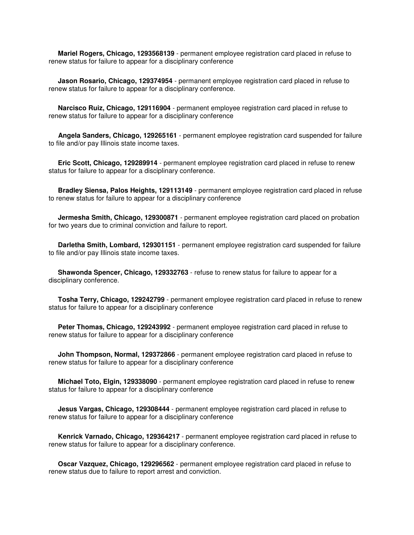**Mariel Rogers, Chicago, 1293568139** - permanent employee registration card placed in refuse to renew status for failure to appear for a disciplinary conference

 **Jason Rosario, Chicago, 129374954** - permanent employee registration card placed in refuse to renew status for failure to appear for a disciplinary conference.

 **Narcisco Ruiz, Chicago, 129116904** - permanent employee registration card placed in refuse to renew status for failure to appear for a disciplinary conference

 **Angela Sanders, Chicago, 129265161** - permanent employee registration card suspended for failure to file and/or pay Illinois state income taxes.

 **Eric Scott, Chicago, 129289914** - permanent employee registration card placed in refuse to renew status for failure to appear for a disciplinary conference.

 **Bradley Siensa, Palos Heights, 129113149** - permanent employee registration card placed in refuse to renew status for failure to appear for a disciplinary conference

 **Jermesha Smith, Chicago, 129300871** - permanent employee registration card placed on probation for two years due to criminal conviction and failure to report.

 **Darletha Smith, Lombard, 129301151** - permanent employee registration card suspended for failure to file and/or pay Illinois state income taxes.

 **Shawonda Spencer, Chicago, 129332763** - refuse to renew status for failure to appear for a disciplinary conference.

 **Tosha Terry, Chicago, 129242799** - permanent employee registration card placed in refuse to renew status for failure to appear for a disciplinary conference

 **Peter Thomas, Chicago, 129243992** - permanent employee registration card placed in refuse to renew status for failure to appear for a disciplinary conference

**John Thompson, Normal, 129372866** - permanent employee registration card placed in refuse to renew status for failure to appear for a disciplinary conference

 **Michael Toto, Elgin, 129338090** - permanent employee registration card placed in refuse to renew status for failure to appear for a disciplinary conference

 **Jesus Vargas, Chicago, 129308444** - permanent employee registration card placed in refuse to renew status for failure to appear for a disciplinary conference

 **Kenrick Varnado, Chicago, 129364217** - permanent employee registration card placed in refuse to renew status for failure to appear for a disciplinary conference.

 **Oscar Vazquez, Chicago, 129296562** - permanent employee registration card placed in refuse to renew status due to failure to report arrest and conviction.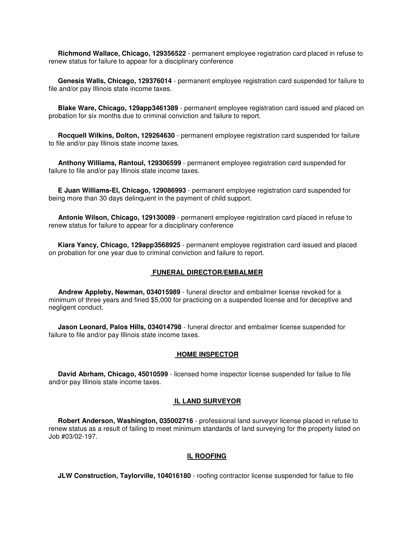**Richmond Wallace, Chicago, 129356522** - permanent employee registration card placed in refuse to renew status for failure to appear for a disciplinary conference

 **Genesis Walls, Chicago, 129376014** - permanent employee registration card suspended for failure to file and/or pay Illinois state income taxes.

 **Blake Ware, Chicago, 129app3461389** - permanent employee registration card issued and placed on probation for six months due to criminal conviction and failure to report.

 **Rocquell Wilkins, Dolton, 129264630** - permanent employee registration card suspended for failure to file and/or pay Illinois state income taxes.

 **Anthony Williams, Rantoul, 129306599** - permanent employee registration card suspended for failure to file and/or pay Illinois state income taxes.

 **E Juan Williams-El, Chicago, 129086993** - permanent employee registration card suspended for being more than 30 days delinquent in the payment of child support.

 **Antonie Wilson, Chicago, 129130089** - permanent employee registration card placed in refuse to renew status for failure to appear for a disciplinary conference

 **Kiara Yancy, Chicago, 129app3568925** - permanent employee registration card issued and placed on probation for one year due to criminal conviction and failure to report.

#### **FUNERAL DIRECTOR/EMBALMER**

 **Andrew Appleby, Newman, 034015989** - funeral director and embalmer license revoked for a minimum of three years and fined \$5,000 for practicing on a suspended license and for deceptive and negligent conduct.

 **Jason Leonard, Palos Hills, 034014798** - funeral director and embalmer license suspended for failure to file and/or pay Illinois state income taxes.

#### **HOME INSPECTOR**

 **David Abrham, Chicago, 45010599** - licensed home inspector license suspended for failue to file and/or pay Illinois state income taxes.

#### **IL LAND SURVEYOR**

 **Robert Anderson, Washington, 035002716** - professional land surveyor license placed in refuse to renew status as a result of failing to meet minimum standards of land surveying for the property listed on Job #03/02-197.

#### **IL ROOFING**

**JLW Construction, Taylorville, 104016180** - roofing contractor license suspended for failue to file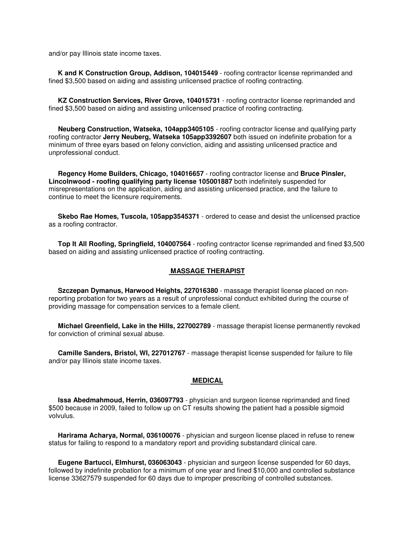and/or pay Illinois state income taxes.

 **K and K Construction Group, Addison, 104015449** - roofing contractor license reprimanded and fined \$3,500 based on aiding and assisting unlicensed practice of roofing contracting.

 **KZ Construction Services, River Grove, 104015731** - roofing contractor license reprimanded and fined \$3,500 based on aiding and assisting unlicensed practice of roofing contracting.

 **Neuberg Construction, Watseka, 104app3405105** - roofing contractor license and qualifying party roofing contractor **Jerry Neuberg, Watseka 105app3392607** both issued on indefinite probation for a minimum of three eyars based on felony conviction, aiding and assisting unlicensed practice and unprofessional conduct.

 **Regency Home Builders, Chicago, 104016657** - roofing contractor license and **Bruce Pinsler, Lincolnwood - roofing qualifying party license 105001887** both indefinitely suspended for misrepresentations on the application, aiding and assisting unlicensed practice, and the failure to continue to meet the licensure requirements.

 **Skebo Rae Homes, Tuscola, 105app3545371** - ordered to cease and desist the unlicensed practice as a roofing contractor.

 **Top It All Roofing, Springfield, 104007564** - roofing contractor license reprimanded and fined \$3,500 based on aiding and assisting unlicensed practice of roofing contracting.

#### **MASSAGE THERAPIST**

 **Szczepan Dymanus, Harwood Heights, 227016380** - massage therapist license placed on nonreporting probation for two years as a result of unprofessional conduct exhibited during the course of providing massage for compensation services to a female client.

 **Michael Greenfield, Lake in the Hills, 227002789** - massage therapist license permanently revoked for conviction of criminal sexual abuse.

 **Camille Sanders, Bristol, WI, 227012767** - massage therapist license suspended for failure to file and/or pay Illinois state income taxes.

#### **MEDICAL**

 **Issa Abedmahmoud, Herrin, 036097793** - physician and surgeon license reprimanded and fined \$500 because in 2009, failed to follow up on CT results showing the patient had a possible sigmoid volvulus.

 **Harirama Acharya, Normal, 036100076** - physician and surgeon license placed in refuse to renew status for failing to respond to a mandatory report and providing substandard clinical care.

 **Eugene Bartucci, Elmhurst, 036063043** - physician and surgeon license suspended for 60 days, followed by indefinite probation for a minimum of one year and fined \$10,000 and controlled substance license 33627579 suspended for 60 days due to improper prescribing of controlled substances.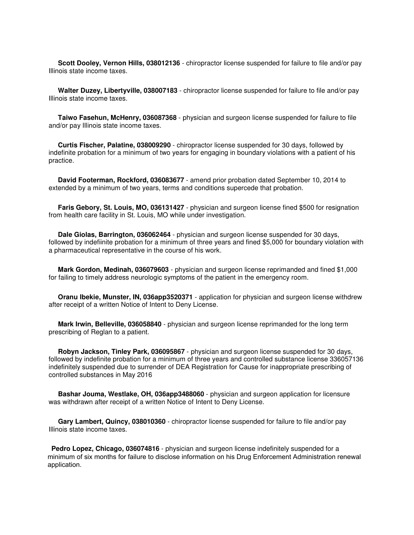**Scott Dooley, Vernon Hills, 038012136** - chiropractor license suspended for failure to file and/or pay Illinois state income taxes.

 **Walter Duzey, Libertyville, 038007183** - chiropractor license suspended for failure to file and/or pay Illinois state income taxes.

 **Taiwo Fasehun, McHenry, 036087368** - physician and surgeon license suspended for failure to file and/or pay Illinois state income taxes.

 **Curtis Fischer, Palatine, 038009290** - chiropractor license suspended for 30 days, followed by indefinite probation for a minimum of two years for engaging in boundary violations with a patient of his practice.

 **David Footerman, Rockford, 036083677** - amend prior probation dated September 10, 2014 to extended by a minimum of two years, terms and conditions supercede that probation.

 **Faris Gebory, St. Louis, MO, 036131427** - physician and surgeon license fined \$500 for resignation from health care facility in St. Louis, MO while under investigation.

 **Dale Giolas, Barrington, 036062464** - physician and surgeon license suspended for 30 days, followed by indefiinite probation for a minimum of three years and fined \$5,000 for boundary violation with a pharmaceutical representative in the course of his work.

 **Mark Gordon, Medinah, 036079603** - physician and surgeon license reprimanded and fined \$1,000 for failing to timely address neurologic symptoms of the patient in the emergency room.

 **Oranu Ibekie, Munster, IN, 036app3520371** - application for physician and surgeon license withdrew after receipt of a written Notice of Intent to Deny License.

 **Mark Irwin, Belleville, 036058840** - physician and surgeon license reprimanded for the long term prescribing of Reglan to a patient.

 **Robyn Jackson, Tinley Park, 036095867** - physician and surgeon license suspended for 30 days, followed by indefinite probation for a minimum of three years and controlled substance license 336057136 indefinitely suspended due to surrender of DEA Registration for Cause for inappropriate prescribing of controlled substances in May 2016

 **Bashar Jouma, Westlake, OH, 036app3488060** - physician and surgeon application for licensure was withdrawn after receipt of a written Notice of Intent to Deny License.

 **Gary Lambert, Quincy, 038010360** - chiropractor license suspended for failure to file and/or pay Illinois state income taxes.

**Pedro Lopez, Chicago, 036074816** - physician and surgeon license indefinitely suspended for a minimum of six months for failure to disclose information on his Drug Enforcement Administration renewal application.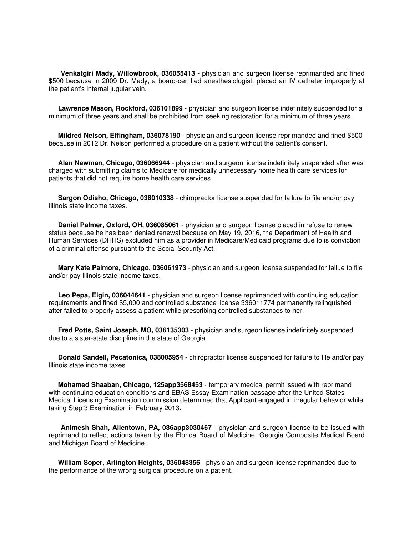**Venkatgiri Mady, Willowbrook, 036055413** - physician and surgeon license reprimanded and fined \$500 because in 2009 Dr. Mady, a board-certified anesthesiologist, placed an IV catheter improperly at the patient's internal jugular vein.

 **Lawrence Mason, Rockford, 036101899** - physician and surgeon license indefinitely suspended for a minimum of three years and shall be prohibited from seeking restoration for a minimum of three years.

 **Mildred Nelson, Effingham, 036078190** - physician and surgeon license reprimanded and fined \$500 because in 2012 Dr. Nelson performed a procedure on a patient without the patient's consent.

 **Alan Newman, Chicago, 036066944** - physician and surgeon license indefinitely suspended after was charged with submitting claims to Medicare for medically unnecessary home health care services for patients that did not require home health care services.

 **Sargon Odisho, Chicago, 038010338** - chiropractor license suspended for failure to file and/or pay Illinois state income taxes.

 **Daniel Palmer, Oxford, OH, 036085061** - physician and surgeon license placed in refuse to renew status because he has been denied renewal because on May 19, 2016, the Department of Health and Human Services (DHHS) excluded him as a provider in Medicare/Medicaid programs due to is conviction of a criminal offense pursuant to the Social Security Act.

 **Mary Kate Palmore, Chicago, 036061973** - physician and surgeon license suspended for failue to file and/or pay Illinois state income taxes.

 **Leo Pepa, Elgin, 036044641** - physician and surgeon license reprimanded with continuing education requirements and fined \$5,000 and controlled substance license 336011774 permanently relinquished after failed to properly assess a patient while prescribing controlled substances to her.

 **Fred Potts, Saint Joseph, MO, 036135303** - physician and surgeon license indefinitely suspended due to a sister-state discipline in the state of Georgia.

 **Donald Sandell, Pecatonica, 038005954** - chiropractor license suspended for failure to file and/or pay Illinois state income taxes.

 **Mohamed Shaaban, Chicago, 125app3568453** - temporary medical permit issued with reprimand with continuing education conditions and EBAS Essay Examination passage after the United States Medical Licensing Examination commission determined that Applicant engaged in irregular behavior while taking Step 3 Examination in February 2013.

 **Animesh Shah, Allentown, PA, 036app3030467** - physician and surgeon license to be issued with reprimand to reflect actions taken by the Florida Board of Medicine, Georgia Composite Medical Board and Michigan Board of Medicine.

 **William Soper, Arlington Heights, 036048356** - physician and surgeon license reprimanded due to the performance of the wrong surgical procedure on a patient.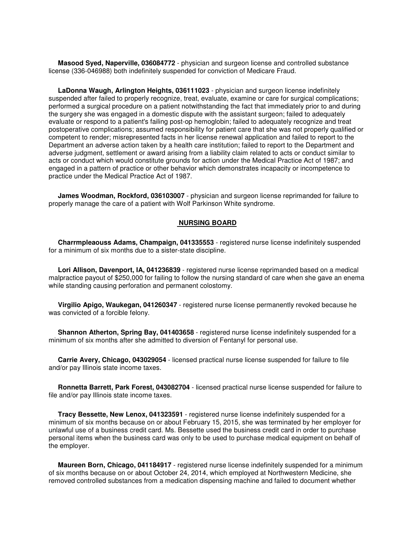**Masood Syed, Naperville, 036084772** - physician and surgeon license and controlled substance license (336-046988) both indefinitely suspended for conviction of Medicare Fraud.

 **LaDonna Waugh, Arlington Heights, 036111023** - physician and surgeon license indefinitely suspended after failed to properly recognize, treat, evaluate, examine or care for surgical complications; performed a surgical procedure on a patient notwithstanding the fact that immediately prior to and during the surgery she was engaged in a domestic dispute with the assistant surgeon; failed to adequately evaluate or respond to a patient's failing post-op hemoglobin; failed to adequately recognize and treat postoperative complications; assumed responsibility for patient care that she was not properly qualified or competent to render; misrepresented facts in her license renewal application and failed to report to the Department an adverse action taken by a health care institution; failed to report to the Department and adverse judgment, settlement or award arising from a liability claim related to acts or conduct similar to acts or conduct which would constitute grounds for action under the Medical Practice Act of 1987; and engaged in a pattern of practice or other behavior which demonstrates incapacity or incompetence to practice under the Medical Practice Act of 1987.

 **James Woodman, Rockford, 036103007** - physician and surgeon license reprimanded for failure to properly manage the care of a patient with Wolf Parkinson White syndrome.

#### **NURSING BOARD**

 **Charrmpleaouss Adams, Champaign, 041335553** - registered nurse license indefinitely suspended for a minimum of six months due to a sister-state discipline.

 **Lori Allison, Davenport, IA, 041236839** - registered nurse license reprimanded based on a medical malpractice payout of \$250,000 for failing to follow the nursing standard of care when she gave an enema while standing causing perforation and permanent colostomy.

 **Virgilio Apigo, Waukegan, 041260347** - registered nurse license permanently revoked because he was convicted of a forcible felony.

 **Shannon Atherton, Spring Bay, 041403658** - registered nurse license indefinitely suspended for a minimum of six months after she admitted to diversion of Fentanyl for personal use.

 **Carrie Avery, Chicago, 043029054** - licensed practical nurse license suspended for failure to file and/or pay Illinois state income taxes.

 **Ronnetta Barrett, Park Forest, 043082704** - licensed practical nurse license suspended for failure to file and/or pay Illinois state income taxes.

 **Tracy Bessette, New Lenox, 041323591** - registered nurse license indefinitely suspended for a minimum of six months because on or about February 15, 2015, she was terminated by her employer for unlawful use of a business credit card. Ms. Bessette used the business credit card in order to purchase personal items when the business card was only to be used to purchase medical equipment on behalf of the employer.

 **Maureen Born, Chicago, 041184917** - registered nurse license indefinitely suspended for a minimum of six months because on or about October 24, 2014, which employed at Northwestern Medicine, she removed controlled substances from a medication dispensing machine and failed to document whether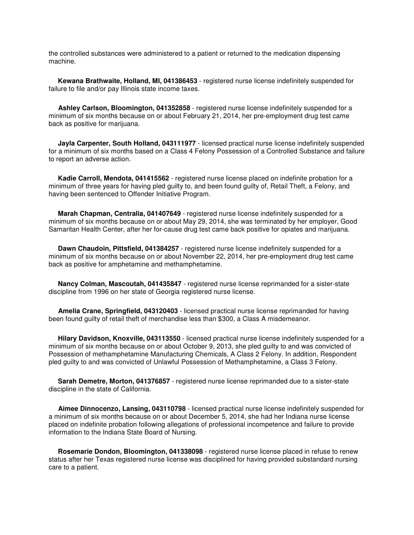the controlled substances were administered to a patient or returned to the medication dispensing machine.

 **Kewana Brathwaite, Holland, MI, 041386453** - registered nurse license indefinitely suspended for failure to file and/or pay Illinois state income taxes.

 **Ashley Carlson, Bloomington, 041352858** - registered nurse license indefinitely suspended for a minimum of six months because on or about February 21, 2014, her pre-employment drug test came back as positive for marijuana.

 **Jayla Carpenter, South Holland, 043111977** - licensed practical nurse license indefinitely suspended for a minimum of six months based on a Class 4 Felony Possession of a Controlled Substance and failure to report an adverse action.

 **Kadie Carroll, Mendota, 041415562** - registered nurse license placed on indefinite probation for a minimum of three years for having pled guilty to, and been found guilty of, Retail Theft, a Felony, and having been sentenced to Offender Initiative Program.

 **Marah Chapman, Centralia, 041407649** - registered nurse license indefinitely suspended for a minimum of six months because on or about May 29, 2014, she was terminated by her employer, Good Samaritan Health Center, after her for-cause drug test came back positive for opiates and marijuana.

 **Dawn Chaudoin, Pittsfield, 041384257** - registered nurse license indefinitely suspended for a minimum of six months because on or about November 22, 2014, her pre-employment drug test came back as positive for amphetamine and methamphetamine.

 **Nancy Colman, Mascoutah, 041435847** - registered nurse license reprimanded for a sister-state discipline from 1996 on her state of Georgia registered nurse license.

 **Amelia Crane, Springfield, 043120403** - licensed practical nurse license reprimanded for having been found guilty of retail theft of merchandise less than \$300, a Class A misdemeanor.

 **Hilary Davidson, Knoxville, 043113550** - licensed practical nurse license indefinitely suspended for a minimum of six months because on or about October 9, 2013, she pled guilty to and was convicted of Possession of methamphetamine Manufacturing Chemicals, A Class 2 Felony. In addition, Respondent pled guilty to and was convicted of Unlawful Possession of Methamphetamine, a Class 3 Felony.

 **Sarah Demetre, Morton, 041376857** - registered nurse license reprimanded due to a sister-state discipline in the state of California.

 **Aimee Dinnocenzo, Lansing, 043110798** - licensed practical nurse license indefinitely suspended for a minimum of six months because on or about December 5, 2014, she had her Indiana nurse license placed on indefinite probation following allegations of professional incompetence and failure to provide information to the Indiana State Board of Nursing.

 **Rosemarie Dondon, Bloomington, 041338098** - registered nurse license placed in refuse to renew status after her Texas registered nurse license was disciplined for having provided substandard nursing care to a patient.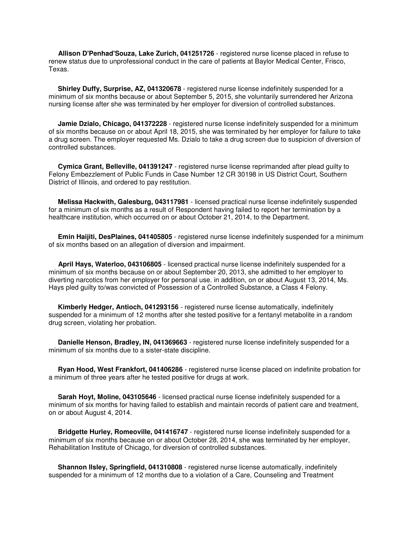**Allison D'Penhad'Souza, Lake Zurich, 041251726** - registered nurse license placed in refuse to renew status due to unprofessional conduct in the care of patients at Baylor Medical Center, Frisco, Texas.

 **Shirley Duffy, Surprise, AZ, 041320678** - registered nurse license indefinitely suspended for a minimum of six months because or about September 5, 2015, she voluntarily surrendered her Arizona nursing license after she was terminated by her employer for diversion of controlled substances.

 **Jamie Dzialo, Chicago, 041372228** - registered nurse license indefinitely suspended for a minimum of six months because on or about April 18, 2015, she was terminated by her employer for failure to take a drug screen. The employer requested Ms. Dzialo to take a drug screen due to suspicion of diversion of controlled substances.

 **Cymica Grant, Belleville, 041391247** - registered nurse license reprimanded after plead guilty to Felony Embezzlement of Public Funds in Case Number 12 CR 30198 in US District Court, Southern District of Illinois, and ordered to pay restitution.

 **Melissa Hackwith, Galesburg, 043117981** - licensed practical nurse license indefinitely suspended for a minimum of six months as a result of Respondent having failed to report her termination by a healthcare institution, which occurred on or about October 21, 2014, to the Department.

 **Emin Haijiti, DesPlaines, 041405805** - registered nurse license indefinitely suspended for a minimum of six months based on an allegation of diversion and impairment.

 **April Hays, Waterloo, 043106805** - licensed practical nurse license indefinitely suspended for a minimum of six months because on or about September 20, 2013, she admitted to her employer to diverting narcotics from her employer for personal use. in addition, on or about August 13, 2014, Ms. Hays pled guilty to/was convicted of Possession of a Controlled Substance, a Class 4 Felony.

 **Kimberly Hedger, Antioch, 041293156** - registered nurse license automatically, indefinitely suspended for a minimum of 12 months after she tested positive for a fentanyl metabolite in a random drug screen, violating her probation.

 **Danielle Henson, Bradley, IN, 041369663** - registered nurse license indefinitely suspended for a minimum of six months due to a sister-state discipline.

 **Ryan Hood, West Frankfort, 041406286** - registered nurse license placed on indefinite probation for a minimum of three years after he tested positive for drugs at work.

 **Sarah Hoyt, Moline, 043105646** - licensed practical nurse license indefinitely suspended for a minimum of six months for having failed to establish and maintain records of patient care and treatment, on or about August 4, 2014.

 **Bridgette Hurley, Romeoville, 041416747** - registered nurse license indefinitely suspended for a minimum of six months because on or about October 28, 2014, she was terminated by her employer, Rehabilitation Institute of Chicago, for diversion of controlled substances.

 **Shannon Ilsley, Springfield, 041310808** - registered nurse license automatically, indefinitely suspended for a minimum of 12 months due to a violation of a Care, Counseling and Treatment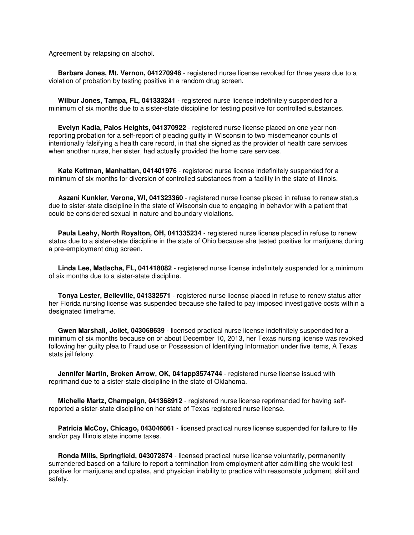Agreement by relapsing on alcohol.

 **Barbara Jones, Mt. Vernon, 041270948** - registered nurse license revoked for three years due to a violation of probation by testing positive in a random drug screen.

 **Wilbur Jones, Tampa, FL, 041333241** - registered nurse license indefinitely suspended for a minimum of six months due to a sister-state discipline for testing positive for controlled substances.

 **Evelyn Kadia, Palos Heights, 041370922** - registered nurse license placed on one year nonreporting probation for a self-report of pleading guilty in Wisconsin to two misdemeanor counts of intentionally falsifying a health care record, in that she signed as the provider of health care services when another nurse, her sister, had actually provided the home care services.

 **Kate Kettman, Manhattan, 041401976** - registered nurse license indefinitely suspended for a minimum of six months for diversion of controlled substances from a facility in the state of Illinois.

 **Aszani Kunkler, Verona, WI, 041323360** - registered nurse license placed in refuse to renew status due to sister-state discipline in the state of Wisconsin due to engaging in behavior with a patient that could be considered sexual in nature and boundary violations.

 **Paula Leahy, North Royalton, OH, 041335234** - registered nurse license placed in refuse to renew status due to a sister-state discipline in the state of Ohio because she tested positive for marijuana during a pre-employment drug screen.

 **Linda Lee, Matlacha, FL, 041418082** - registered nurse license indefinitely suspended for a minimum of six months due to a sister-state discipline.

 **Tonya Lester, Belleville, 041332571** - registered nurse license placed in refuse to renew status after her Florida nursing license was suspended because she failed to pay imposed investigative costs within a designated timeframe.

 **Gwen Marshall, Joliet, 043068639** - licensed practical nurse license indefinitely suspended for a minimum of six months because on or about December 10, 2013, her Texas nursing license was revoked following her guilty plea to Fraud use or Possession of Identifying Information under five items, A Texas stats jail felony.

 **Jennifer Martin, Broken Arrow, OK, 041app3574744** - registered nurse license issued with reprimand due to a sister-state discipline in the state of Oklahoma.

 **Michelle Martz, Champaign, 041368912** - registered nurse license reprimanded for having selfreported a sister-state discipline on her state of Texas registered nurse license.

 **Patricia McCoy, Chicago, 043046061** - licensed practical nurse license suspended for failure to file and/or pay Illinois state income taxes.

 **Ronda Mills, Springfield, 043072874** - licensed practical nurse license voluntarily, permanently surrendered based on a failure to report a termination from employment after admitting she would test positive for marijuana and opiates, and physician inability to practice with reasonable judgment, skill and safety.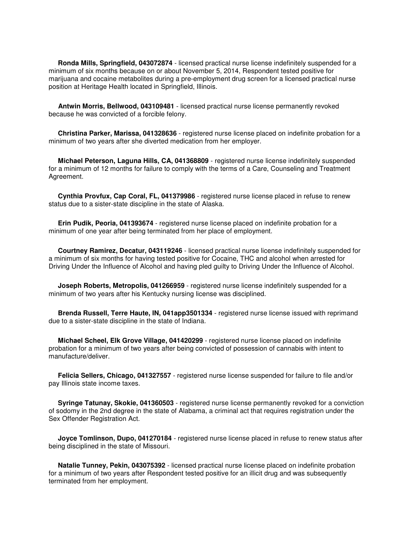**Ronda Mills, Springfield, 043072874** - licensed practical nurse license indefinitely suspended for a minimum of six months because on or about November 5, 2014, Respondent tested positive for marijuana and cocaine metabolites during a pre-employment drug screen for a licensed practical nurse position at Heritage Health located in Springfield, Illinois.

 **Antwin Morris, Bellwood, 043109481** - licensed practical nurse license permanently revoked because he was convicted of a forcible felony.

 **Christina Parker, Marissa, 041328636** - registered nurse license placed on indefinite probation for a minimum of two years after she diverted medication from her employer.

 **Michael Peterson, Laguna Hills, CA, 041368809** - registered nurse license indefinitely suspended for a minimum of 12 months for failure to comply with the terms of a Care, Counseling and Treatment Agreement.

 **Cynthia Provfux, Cap Coral, FL, 041379986** - registered nurse license placed in refuse to renew status due to a sister-state discipline in the state of Alaska.

 **Erin Pudik, Peoria, 041393674** - registered nurse license placed on indefinite probation for a minimum of one year after being terminated from her place of employment.

 **Courtney Ramirez, Decatur, 043119246** - licensed practical nurse license indefinitely suspended for a minimum of six months for having tested positive for Cocaine, THC and alcohol when arrested for Driving Under the Influence of Alcohol and having pled guilty to Driving Under the Influence of Alcohol.

 **Joseph Roberts, Metropolis, 041266959** - registered nurse license indefinitely suspended for a minimum of two years after his Kentucky nursing license was disciplined.

 **Brenda Russell, Terre Haute, IN, 041app3501334** - registered nurse license issued with reprimand due to a sister-state discipline in the state of Indiana.

 **Michael Scheel, Elk Grove Village, 041420299** - registered nurse license placed on indefinite probation for a minimum of two years after being convicted of possession of cannabis with intent to manufacture/deliver.

 **Felicia Sellers, Chicago, 041327557** - registered nurse license suspended for failure to file and/or pay Illinois state income taxes.

 **Syringe Tatunay, Skokie, 041360503** - registered nurse license permanently revoked for a conviction of sodomy in the 2nd degree in the state of Alabama, a criminal act that requires registration under the Sex Offender Registration Act.

 **Joyce Tomlinson, Dupo, 041270184** - registered nurse license placed in refuse to renew status after being disciplined in the state of Missouri.

 **Natalie Tunney, Pekin, 043075392** - licensed practical nurse license placed on indefinite probation for a minimum of two years after Respondent tested positive for an illicit drug and was subsequently terminated from her employment.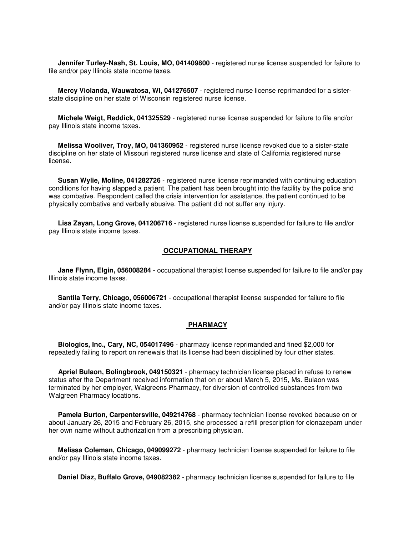**Jennifer Turley-Nash, St. Louis, MO, 041409800** - registered nurse license suspended for failure to file and/or pay Illinois state income taxes.

 **Mercy Violanda, Wauwatosa, WI, 041276507** - registered nurse license reprimanded for a sisterstate discipline on her state of Wisconsin registered nurse license.

 **Michele Weigt, Reddick, 041325529** - registered nurse license suspended for failure to file and/or pay Illinois state income taxes.

 **Melissa Wooliver, Troy, MO, 041360952** - registered nurse license revoked due to a sister-state discipline on her state of Missouri registered nurse license and state of California registered nurse license.

 **Susan Wylie, Moline, 041282726** - registered nurse license reprimanded with continuing education conditions for having slapped a patient. The patient has been brought into the facility by the police and was combative. Respondent called the crisis intervention for assistance, the patient continued to be physically combative and verbally abusive. The patient did not suffer any injury.

 **Lisa Zayan, Long Grove, 041206716** - registered nurse license suspended for failure to file and/or pay Illinois state income taxes.

#### **OCCUPATIONAL THERAPY**

 **Jane Flynn, Elgin, 056008284** - occupational therapist license suspended for failure to file and/or pay Illinois state income taxes.

 **Santila Terry, Chicago, 056006721** - occupational therapist license suspended for failure to file and/or pay Illinois state income taxes.

#### **PHARMACY**

 **Biologics, Inc., Cary, NC, 054017496** - pharmacy license reprimanded and fined \$2,000 for repeatedly failing to report on renewals that its license had been disciplined by four other states.

 **Apriel Bulaon, Bolingbrook, 049150321** - pharmacy technician license placed in refuse to renew status after the Department received information that on or about March 5, 2015, Ms. Bulaon was terminated by her employer, Walgreens Pharmacy, for diversion of controlled substances from two Walgreen Pharmacy locations.

 **Pamela Burton, Carpentersville, 049214768** - pharmacy technician license revoked because on or about January 26, 2015 and February 26, 2015, she processed a refill prescription for clonazepam under her own name without authorization from a prescribing physician.

 **Melissa Coleman, Chicago, 049099272** - pharmacy technician license suspended for failure to file and/or pay Illinois state income taxes.

**Daniel Diaz, Buffalo Grove, 049082382** - pharmacy technician license suspended for failure to file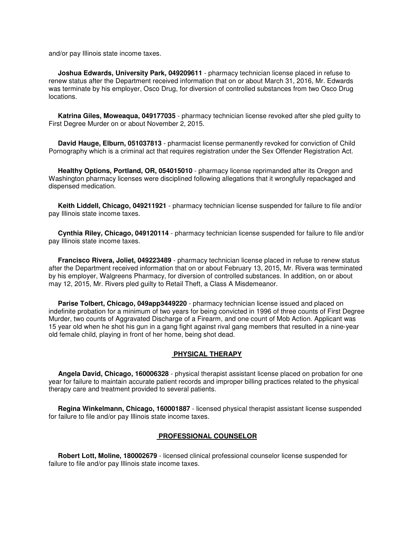and/or pay Illinois state income taxes.

 **Joshua Edwards, University Park, 049209611** - pharmacy technician license placed in refuse to renew status after the Department received information that on or about March 31, 2016, Mr. Edwards was terminate by his employer, Osco Drug, for diversion of controlled substances from two Osco Drug locations.

 **Katrina Giles, Moweaqua, 049177035** - pharmacy technician license revoked after she pled guilty to First Degree Murder on or about November 2, 2015.

 **David Hauge, Elburn, 051037813** - pharmacist license permanently revoked for conviction of Child Pornography which is a criminal act that requires registration under the Sex Offender Registration Act.

 **Healthy Options, Portland, OR, 054015010** - pharmacy license reprimanded after its Oregon and Washington pharmacy licenses were disciplined following allegations that it wrongfully repackaged and dispensed medication.

 **Keith Liddell, Chicago, 049211921** - pharmacy technician license suspended for failure to file and/or pay Illinois state income taxes.

 **Cynthia Riley, Chicago, 049120114** - pharmacy technician license suspended for failure to file and/or pay Illinois state income taxes.

 **Francisco Rivera, Joliet, 049223489** - pharmacy technician license placed in refuse to renew status after the Department received information that on or about February 13, 2015, Mr. Rivera was terminated by his employer, Walgreens Pharmacy, for diversion of controlled substances. In addition, on or about may 12, 2015, Mr. Rivers pled guilty to Retail Theft, a Class A Misdemeanor.

 **Parise Tolbert, Chicago, 049app3449220** - pharmacy technician license issued and placed on indefinite probation for a minimum of two years for being convicted in 1996 of three counts of First Degree Murder, two counts of Aggravated Discharge of a Firearm, and one count of Mob Action. Applicant was 15 year old when he shot his gun in a gang fight against rival gang members that resulted in a nine-year old female child, playing in front of her home, being shot dead.

#### **PHYSICAL THERAPY**

 **Angela David, Chicago, 160006328** - physical therapist assistant license placed on probation for one year for failure to maintain accurate patient records and improper billing practices related to the physical therapy care and treatment provided to several patients.

 **Regina Winkelmann, Chicago, 160001887** - licensed physical therapist assistant license suspended for failure to file and/or pay Illinois state income taxes.

#### **PROFESSIONAL COUNSELOR**

 **Robert Lott, Moline, 180002679** - licensed clinical professional counselor license suspended for failure to file and/or pay Illinois state income taxes.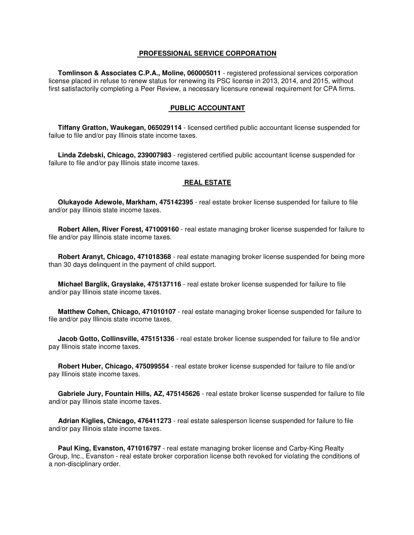#### **PROFESSIONAL SERVICE CORPORATION**

 **Tomlinson & Associates C.P.A., Moline, 060005011** - registered professional services corporation license placed in refuse to renew status for renewing its PSC license in 2013, 2014, and 2015, without first satisfactorily completing a Peer Review, a necessary licensure renewal requirement for CPA firms.

#### **PUBLIC ACCOUNTANT**

 **Tiffany Gratton, Waukegan, 065029114** - licensed certified public accountant license suspended for failue to file and/or pay Illinois state income taxes.

 **Linda Zdebski, Chicago, 239007983** - registered certified public accountant license suspended for failure to file and/or pay Illinois state income taxes.

#### **REAL ESTATE**

 **Olukayode Adewole, Markham, 475142395** - real estate broker license suspended for failure to file and/or pay Illinois state income taxes.

 **Robert Allen, River Forest, 471009160** - real estate managing broker license suspended for failure to file and/or pay Illinois state income taxes.

 **Robert Aranyt, Chicago, 471018368** - real estate managing broker license suspended for being more than 30 days delinquent in the payment of child support.

 **Michael Barglik, Grayslake, 475137116** - real estate broker license suspended for failure to file and/or pay Illinois state income taxes.

 **Matthew Cohen, Chicago, 471010107** - real estate managing broker license suspended for failure to file and/or pay Illinois state income taxes.

 **Jacob Gotto, Collinsville, 475151336** - real estate broker license suspended for failure to file and/or pay Illinois state income taxes.

 **Robert Huber, Chicago, 475099554** - real estate broker license suspended for failure to file and/or pay Illinois state income taxes.

 **Gabriele Jury, Fountain Hills, AZ, 475145626** - real estate broker license suspended for failure to file and/or pay Illinois state income taxes.

 **Adrian Kiglies, Chicago, 476411273** - real estate salesperson license suspended for failure to file and/or pay Illinois state income taxes.

 **Paul King, Evanston, 471016797** - real estate managing broker license and Carby-King Realty Group, Inc., Evanston - real estate broker corporation license both revoked for violating the conditions of a non-disciplinary order.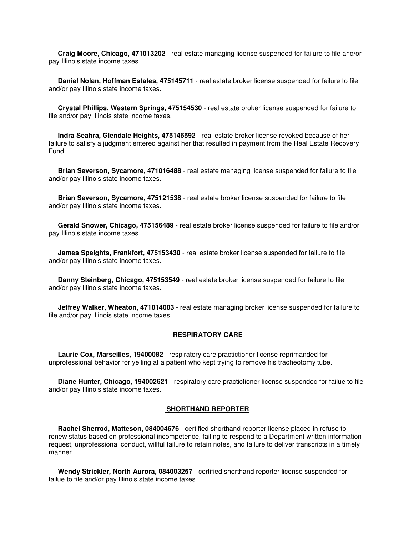**Craig Moore, Chicago, 471013202** - real estate managing license suspended for failure to file and/or pay Illinois state income taxes.

 **Daniel Nolan, Hoffman Estates, 475145711** - real estate broker license suspended for failure to file and/or pay Illinois state income taxes.

 **Crystal Phillips, Western Springs, 475154530** - real estate broker license suspended for failure to file and/or pay Illinois state income taxes.

 **Indra Seahra, Glendale Heights, 475146592** - real estate broker license revoked because of her failure to satisfy a judgment entered against her that resulted in payment from the Real Estate Recovery Fund.

 **Brian Severson, Sycamore, 471016488** - real estate managing license suspended for failure to file and/or pay Illinois state income taxes.

 **Brian Severson, Sycamore, 475121538** - real estate broker license suspended for failure to file and/or pay Illinois state income taxes.

 **Gerald Snower, Chicago, 475156489** - real estate broker license suspended for failure to file and/or pay Illinois state income taxes.

 **James Speights, Frankfort, 475153430** - real estate broker license suspended for failure to file and/or pay Illinois state income taxes.

 **Danny Steinberg, Chicago, 475153549** - real estate broker license suspended for failure to file and/or pay Illinois state income taxes.

 **Jeffrey Walker, Wheaton, 471014003** - real estate managing broker license suspended for failure to file and/or pay Illinois state income taxes.

#### **RESPIRATORY CARE**

 **Laurie Cox, Marseilles, 19400082** - respiratory care practictioner license reprimanded for unprofessional behavior for yelling at a patient who kept trying to remove his tracheotomy tube.

 **Diane Hunter, Chicago, 194002621** - respiratory care practictioner license suspended for failue to file and/or pay Illinois state income taxes.

#### **SHORTHAND REPORTER**

 **Rachel Sherrod, Matteson, 084004676** - certified shorthand reporter license placed in refuse to renew status based on professional incompetence, failing to respond to a Department written information request, unprofessional conduct, willful failure to retain notes, and failure to deliver transcripts in a timely manner.

 **Wendy Strickler, North Aurora, 084003257** - certified shorthand reporter license suspended for failue to file and/or pay Illinois state income taxes.